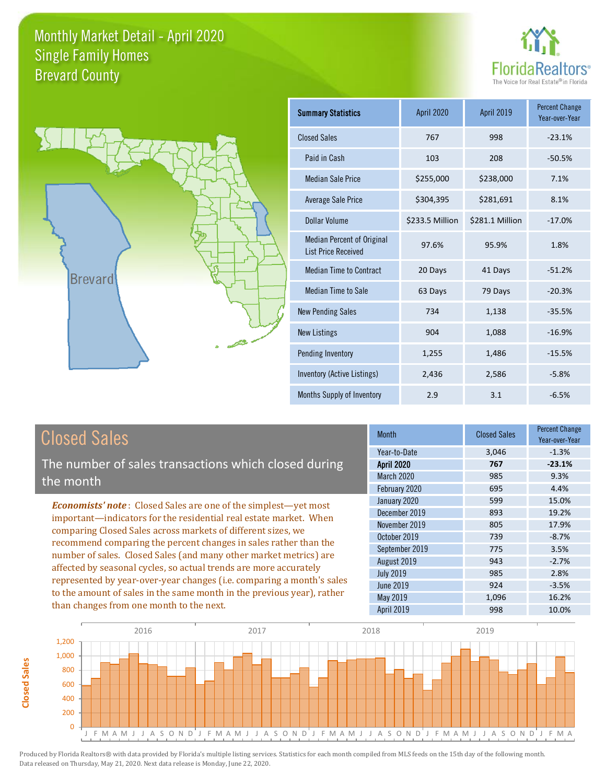



| <b>Summary Statistics</b>                                       | April 2020      | April 2019      | <b>Percent Change</b><br>Year-over-Year |
|-----------------------------------------------------------------|-----------------|-----------------|-----------------------------------------|
| <b>Closed Sales</b>                                             | 767             | 998             | $-23.1%$                                |
| Paid in Cash                                                    | 103             | 208             | $-50.5%$                                |
| <b>Median Sale Price</b>                                        | \$255,000       | \$238,000       | 7.1%                                    |
| <b>Average Sale Price</b>                                       | \$304,395       | \$281,691       | 8.1%                                    |
| Dollar Volume                                                   | \$233.5 Million | \$281.1 Million | $-17.0%$                                |
| <b>Median Percent of Original</b><br><b>List Price Received</b> | 97.6%           | 95.9%           | 1.8%                                    |
| <b>Median Time to Contract</b>                                  | 20 Days         | 41 Days         | $-51.2%$                                |
| Median Time to Sale                                             | 63 Days         | 79 Days         | $-20.3%$                                |
| <b>New Pending Sales</b>                                        | 734             | 1,138           | $-35.5%$                                |
| <b>New Listings</b>                                             | 904             | 1,088           | $-16.9%$                                |
| Pending Inventory                                               | 1,255           | 1,486           | $-15.5%$                                |
| Inventory (Active Listings)                                     | 2,436           | 2,586           | $-5.8%$                                 |
| Months Supply of Inventory                                      | 2.9             | 3.1             | $-6.5%$                                 |

## Closed Sales

**Closed Sales**

**Closed Sales** 

The number of sales transactions which closed during the month

*Economists' note* : Closed Sales are one of the simplest—yet most important—indicators for the residential real estate market. When comparing Closed Sales across markets of different sizes, we recommend comparing the percent changes in sales rather than the number of sales. Closed Sales (and many other market metrics) are affected by seasonal cycles, so actual trends are more accurately represented by year-over-year changes (i.e. comparing a month's sales to the amount of sales in the same month in the previous year), rather than changes from one month to the next.

| Month             | <b>Closed Sales</b> | <b>Percent Change</b><br>Year-over-Year |
|-------------------|---------------------|-----------------------------------------|
| Year-to-Date      | 3,046               | $-1.3%$                                 |
| <b>April 2020</b> | 767                 | $-23.1%$                                |
| March 2020        | 985                 | 9.3%                                    |
| February 2020     | 695                 | 4.4%                                    |
| January 2020      | 599                 | 15.0%                                   |
| December 2019     | 893                 | 19.2%                                   |
| November 2019     | 805                 | 17.9%                                   |
| October 2019      | 739                 | $-8.7%$                                 |
| September 2019    | 775                 | 3.5%                                    |
| August 2019       | 943                 | $-2.7%$                                 |
| <b>July 2019</b>  | 985                 | 2.8%                                    |
| <b>June 2019</b>  | 924                 | $-3.5%$                                 |
| May 2019          | 1,096               | 16.2%                                   |
| April 2019        | 998                 | 10.0%                                   |

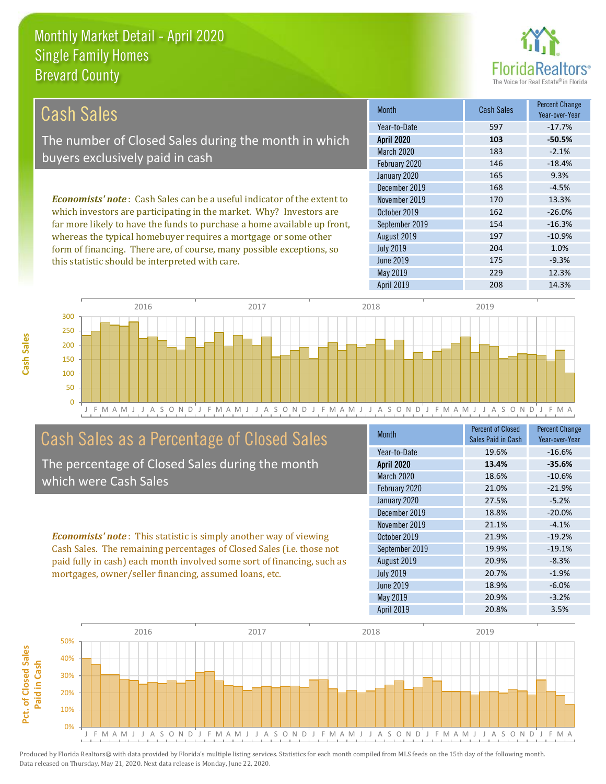

| Cash Sales                                                                     | <b>Month</b>      | Cash Sales | <b>Percent Change</b><br>Year-over-Year |
|--------------------------------------------------------------------------------|-------------------|------------|-----------------------------------------|
|                                                                                | Year-to-Date      | 597        | $-17.7%$                                |
| The number of Closed Sales during the month in which                           | <b>April 2020</b> | 103        | $-50.5%$                                |
| buyers exclusively paid in cash                                                | <b>March 2020</b> | 183        | $-2.1%$                                 |
|                                                                                | February 2020     | 146        | $-18.4%$                                |
|                                                                                | January 2020      | 165        | 9.3%                                    |
|                                                                                | December 2019     | 168        | $-4.5%$                                 |
| <b>Economists' note:</b> Cash Sales can be a useful indicator of the extent to | November 2019     | 170        | 13.3%                                   |
| which investors are participating in the market. Why? Investors are            | October 2019      | 162        | $-26.0%$                                |
| far more likely to have the funds to purchase a home available up front,       | September 2019    | 154        | $-16.3%$                                |
| whereas the typical homebuyer requires a mortgage or some other                | August 2019       | 197        | $-10.9%$                                |
| form of financing. There are, of course, many possible exceptions, so          | <b>July 2019</b>  | 204        | 1.0%                                    |
| this statistic should be interpreted with care.                                | June 2019         | 175        | $-9.3%$                                 |



## Cash Sales as a Percentage of Closed Sales

The percentage of Closed Sales during the month which were Cash Sales

*Economists' note* : This statistic is simply another way of viewing Cash Sales. The remaining percentages of Closed Sales (i.e. those not paid fully in cash) each month involved some sort of financing, such as mortgages, owner/seller financing, assumed loans, etc.

| Month             | <b>Percent of Closed</b><br>Sales Paid in Cash | <b>Percent Change</b><br>Year-over-Year |
|-------------------|------------------------------------------------|-----------------------------------------|
|                   |                                                |                                         |
| Year-to-Date      | 19.6%                                          | $-16.6%$                                |
| <b>April 2020</b> | 13.4%                                          | $-35.6%$                                |
| March 2020        | 18.6%                                          | $-10.6%$                                |
| February 2020     | 21.0%                                          | $-21.9%$                                |
| January 2020      | 27.5%                                          | $-5.2%$                                 |
| December 2019     | 18.8%                                          | $-20.0%$                                |
| November 2019     | 21.1%                                          | $-4.1%$                                 |
| October 2019      | 21.9%                                          | $-19.2%$                                |
| September 2019    | 19.9%                                          | $-19.1%$                                |
| August 2019       | 20.9%                                          | $-8.3%$                                 |
| <b>July 2019</b>  | 20.7%                                          | $-1.9%$                                 |
| <b>June 2019</b>  | 18.9%                                          | $-6.0%$                                 |
| May 2019          | 20.9%                                          | $-3.2%$                                 |
| <b>April 2019</b> | 20.8%                                          | 3.5%                                    |

May 2019 229 229 12.3%

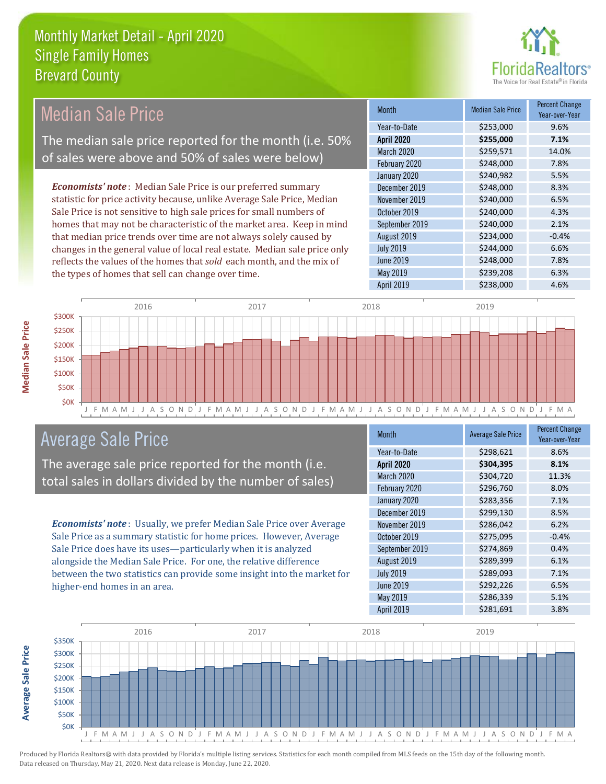the types of homes that sell can change over time.



| Median Sale Price                                                         | <b>Month</b>      | <b>Median Sale Price</b> | <b>Percent Change</b><br>Year-over-Year |
|---------------------------------------------------------------------------|-------------------|--------------------------|-----------------------------------------|
|                                                                           | Year-to-Date      | \$253,000                | 9.6%                                    |
| The median sale price reported for the month (i.e. 50%                    | <b>April 2020</b> | \$255,000                | 7.1%                                    |
| of sales were above and 50% of sales were below)                          | March 2020        | \$259,571                | 14.0%                                   |
|                                                                           | February 2020     | \$248,000                | 7.8%                                    |
|                                                                           | January 2020      | \$240,982                | 5.5%                                    |
| <b>Economists' note:</b> Median Sale Price is our preferred summary       | December 2019     | \$248,000                | 8.3%                                    |
| statistic for price activity because, unlike Average Sale Price, Median   | November 2019     | \$240,000                | 6.5%                                    |
| Sale Price is not sensitive to high sale prices for small numbers of      | October 2019      | \$240,000                | 4.3%                                    |
| homes that may not be characteristic of the market area. Keep in mind     | September 2019    | \$240,000                | 2.1%                                    |
| that median price trends over time are not always solely caused by        | August 2019       | \$234,000                | $-0.4%$                                 |
| changes in the general value of local real estate. Median sale price only | <b>July 2019</b>  | \$244,000                | 6.6%                                    |
| reflects the values of the homes that sold each month, and the mix of     | June 2019         | \$248,000                | 7.8%                                    |



## Average Sale Price

The average sale price reported for the month (i.e. total sales in dollars divided by the number of sales)

*Economists' note* : Usually, we prefer Median Sale Price over Average Sale Price as a summary statistic for home prices. However, Average Sale Price does have its uses—particularly when it is analyzed alongside the Median Sale Price. For one, the relative difference between the two statistics can provide some insight into the market for higher-end homes in an area.

| <b>Month</b>      | <b>Average Sale Price</b> | <b>Percent Change</b><br>Year-over-Year |
|-------------------|---------------------------|-----------------------------------------|
| Year-to-Date      | \$298,621                 | 8.6%                                    |
| <b>April 2020</b> | \$304,395                 | 8.1%                                    |
| March 2020        | \$304,720                 | 11.3%                                   |
| February 2020     | \$296,760                 | 8.0%                                    |
| January 2020      | \$283,356                 | 7.1%                                    |
| December 2019     | \$299,130                 | 8.5%                                    |
| November 2019     | \$286,042                 | 6.2%                                    |
| October 2019      | \$275,095                 | $-0.4%$                                 |
| September 2019    | \$274,869                 | 0.4%                                    |
| August 2019       | \$289,399                 | 6.1%                                    |
| <b>July 2019</b>  | \$289,093                 | 7.1%                                    |
| <b>June 2019</b>  | \$292,226                 | 6.5%                                    |
| May 2019          | \$286,339                 | 5.1%                                    |
| April 2019        | \$281,691                 | 3.8%                                    |

May 2019 **\$239,208** 6.3% April 2019 \$238,000 4.6%



Produced by Florida Realtors® with data provided by Florida's multiple listing services. Statistics for each month compiled from MLS feeds on the 15th day of the following month. Data released on Thursday, May 21, 2020. Next data release is Monday, June 22, 2020.

**Average Sale Price**

**Average Sale Price**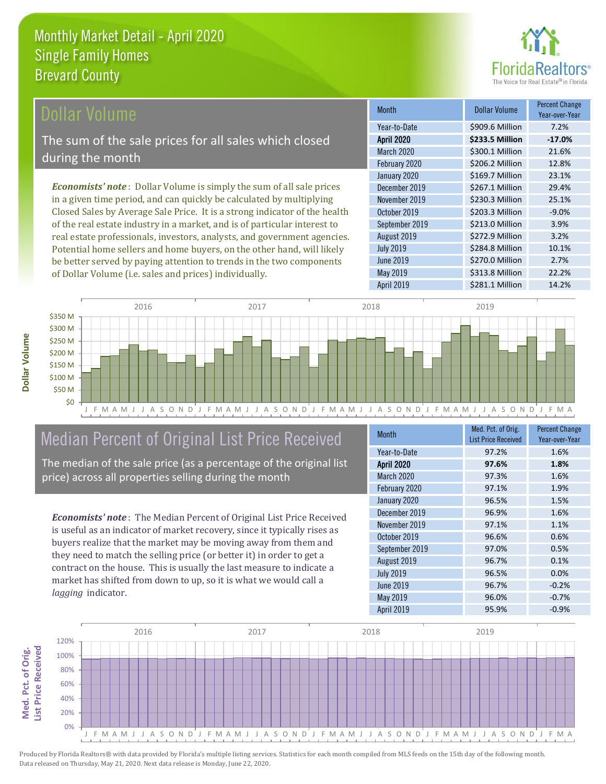

### Dollar Volume

The sum of the sale prices for all sales which closed during the month

*Economists' note* : Dollar Volume is simply the sum of all sale prices in a given time period, and can quickly be calculated by multiplying Closed Sales by Average Sale Price. It is a strong indicator of the health of the real estate industry in a market, and is of particular interest to real estate professionals, investors, analysts, and government agencies. Potential home sellers and home buyers, on the other hand, will likely be better served by paying attention to trends in the two components of Dollar Volume (i.e. sales and prices) individually.

| <b>Month</b>      | Dollar Volume   | <b>Percent Change</b><br>Year-over-Year |
|-------------------|-----------------|-----------------------------------------|
| Year-to-Date      | \$909.6 Million | 7.2%                                    |
| <b>April 2020</b> | \$233.5 Million | $-17.0%$                                |
| March 2020        | \$300.1 Million | 21.6%                                   |
| February 2020     | \$206.2 Million | 12.8%                                   |
| January 2020      | \$169.7 Million | 23.1%                                   |
| December 2019     | \$267.1 Million | 29.4%                                   |
| November 2019     | \$230.3 Million | 25.1%                                   |
| October 2019      | \$203.3 Million | $-9.0%$                                 |
| September 2019    | \$213.0 Million | 3.9%                                    |
| August 2019       | \$272.9 Million | 3.2%                                    |
| <b>July 2019</b>  | \$284.8 Million | 10.1%                                   |
| <b>June 2019</b>  | \$270.0 Million | 2.7%                                    |
| May 2019          | \$313.8 Million | 22.2%                                   |
| <b>April 2019</b> | \$281.1 Million | 14.2%                                   |



## Median Percent of Original List Price Received

The median of the sale price (as a percentage of the original list price) across all properties selling during the month

*Economists' note* : The Median Percent of Original List Price Received is useful as an indicator of market recovery, since it typically rises as buyers realize that the market may be moving away from them and they need to match the selling price (or better it) in order to get a contract on the house. This is usually the last measure to indicate a market has shifted from down to up, so it is what we would call a *lagging* indicator.

| <b>Month</b>      | Med. Pct. of Orig.         | <b>Percent Change</b> |
|-------------------|----------------------------|-----------------------|
|                   | <b>List Price Received</b> | Year-over-Year        |
| Year-to-Date      | 97.2%                      | 1.6%                  |
| <b>April 2020</b> | 97.6%                      | 1.8%                  |
| March 2020        | 97.3%                      | 1.6%                  |
| February 2020     | 97.1%                      | 1.9%                  |
| January 2020      | 96.5%                      | 1.5%                  |
| December 2019     | 96.9%                      | 1.6%                  |
| November 2019     | 97.1%                      | 1.1%                  |
| October 2019      | 96.6%                      | 0.6%                  |
| September 2019    | 97.0%                      | 0.5%                  |
| August 2019       | 96.7%                      | 0.1%                  |
| <b>July 2019</b>  | 96.5%                      | 0.0%                  |
| <b>June 2019</b>  | 96.7%                      | $-0.2%$               |
| May 2019          | 96.0%                      | $-0.7%$               |
| April 2019        | 95.9%                      | $-0.9%$               |



Produced by Florida Realtors® with data provided by Florida's multiple listing services. Statistics for each month compiled from MLS feeds on the 15th day of the following month. Data released on Thursday, May 21, 2020. Next data release is Monday, June 22, 2020.

Med. Pct. of Orig.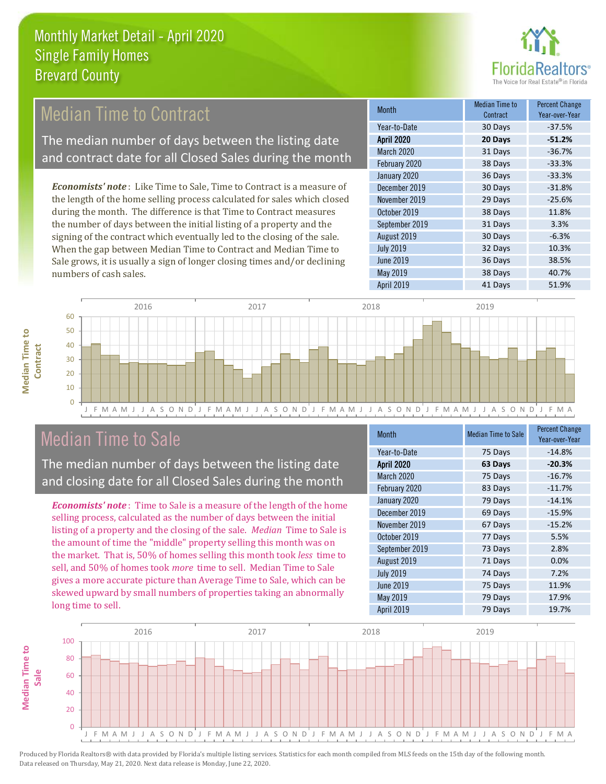

32 Days 10.3%

June 2019 **36 Days** 38.5%

July 2019

#### 38 Days -33.3% January 2020 36 Days -33.3% August 2019 30 Days 6.3% Month Month Median Time to **Contract** Percent Change Year-over-Year April 2020 **20 Days -51.2%** Year-to-Date 30 Days -37.5% March 2020 31 Days -36.7% February 2020 October 2019 38 Days 11.8% September 2019 31 Days 3.3% December 2019 30 Days -31.8% November 2019 29 Days -25.6% *Economists' note* : Like Time to Sale, Time to Contract is a measure of the length of the home selling process calculated for sales which closed during the month. The difference is that Time to Contract measures the number of days between the initial listing of a property and the signing of the contract which eventually led to the closing of the sale. **Median Time to Contract** The median number of days between the listing date and contract date for all Closed Sales during the month

May 2019 **38 Days** 40.7% April 2019 **41 Days** 51.9% numbers of cash sales. 40 50 60 2016 2017 2018 2019

## **Median Time to Median Time to Contract**

|              | 2016                                                   | 201.                                                              | 2018                                                                                | 2019                                                            |
|--------------|--------------------------------------------------------|-------------------------------------------------------------------|-------------------------------------------------------------------------------------|-----------------------------------------------------------------|
| 60           |                                                        |                                                                   |                                                                                     |                                                                 |
| 50           |                                                        |                                                                   |                                                                                     |                                                                 |
| 40           |                                                        |                                                                   |                                                                                     |                                                                 |
| $30 +$       |                                                        |                                                                   |                                                                                     |                                                                 |
| 20           |                                                        |                                                                   |                                                                                     |                                                                 |
| 10           |                                                        |                                                                   |                                                                                     |                                                                 |
|              |                                                        |                                                                   |                                                                                     |                                                                 |
| $\mathbf{O}$ |                                                        |                                                                   |                                                                                     |                                                                 |
|              | J F M A<br>M<br>N<br>$\Box$<br>$S \cap$<br>$^+$ A $^-$ | $\varsigma$<br>$\Box$<br>F<br>$\cap$<br>N<br>NЛ.<br>$\Delta$<br>Д | E<br>$\varsigma$<br>$\cap$<br>$\mathbb{N}$<br>M<br>$\Lambda$<br>Δ<br>$\overline{A}$ | F<br>N<br>$\Box$<br>M A<br>$\Delta$<br>M.<br>$\Lambda$<br>$A$ . |
|              |                                                        |                                                                   |                                                                                     |                                                                 |

## Median Time to Sale

The median number of days between the listing date and closing date for all Closed Sales during the month

When the gap between Median Time to Contract and Median Time to Sale grows, it is usually a sign of longer closing times and/or declining

*Economists' note* : Time to Sale is a measure of the length of the home selling process, calculated as the number of days between the initial listing of a property and the closing of the sale. *Median* Time to Sale is the amount of time the "middle" property selling this month was on the market. That is, 50% of homes selling this month took *less* time to sell, and 50% of homes took *more* time to sell. Median Time to Sale gives a more accurate picture than Average Time to Sale, which can be skewed upward by small numbers of properties taking an abnormally long time to sell.

| <b>Month</b>      | <b>Median Time to Sale</b> | <b>Percent Change</b><br>Year-over-Year |
|-------------------|----------------------------|-----------------------------------------|
| Year-to-Date      | 75 Days                    | $-14.8%$                                |
| <b>April 2020</b> | 63 Days                    | $-20.3%$                                |
| March 2020        | 75 Days                    | $-16.7%$                                |
| February 2020     | 83 Days                    | $-11.7%$                                |
| January 2020      | 79 Days                    | $-14.1%$                                |
| December 2019     | 69 Days                    | $-15.9%$                                |
| November 2019     | 67 Days                    | $-15.2%$                                |
| October 2019      | 77 Days                    | 5.5%                                    |
| September 2019    | 73 Days                    | 2.8%                                    |
| August 2019       | 71 Days                    | 0.0%                                    |
| <b>July 2019</b>  | 74 Days                    | 7.2%                                    |
| <b>June 2019</b>  | 75 Days                    | 11.9%                                   |
| May 2019          | 79 Days                    | 17.9%                                   |
| April 2019        | 79 Days                    | 19.7%                                   |

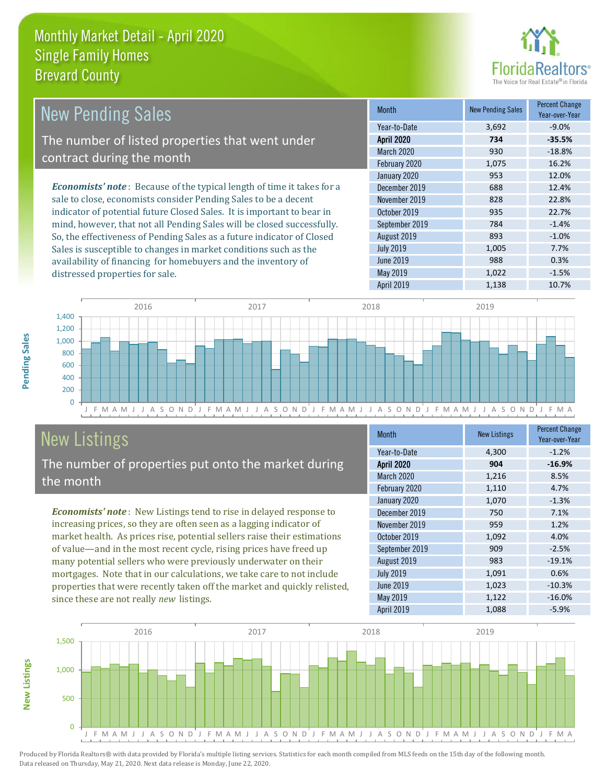distressed properties for sale.



| <b>New Pending Sales</b>                                                      | <b>Month</b>      | <b>New Pending Sales</b> | <b>Percent Change</b><br>Year-over-Year |
|-------------------------------------------------------------------------------|-------------------|--------------------------|-----------------------------------------|
|                                                                               | Year-to-Date      | 3,692                    | $-9.0\%$                                |
| The number of listed properties that went under                               | <b>April 2020</b> | 734                      | $-35.5%$                                |
| contract during the month                                                     | <b>March 2020</b> | 930                      | $-18.8%$                                |
|                                                                               | February 2020     | 1,075                    | 16.2%                                   |
|                                                                               | January 2020      | 953                      | 12.0%                                   |
| <b>Economists' note:</b> Because of the typical length of time it takes for a | December 2019     | 688                      | 12.4%                                   |
| sale to close, economists consider Pending Sales to be a decent               | November 2019     | 828                      | 22.8%                                   |
| indicator of potential future Closed Sales. It is important to bear in        | October 2019      | 935                      | 22.7%                                   |
| mind, however, that not all Pending Sales will be closed successfully.        | September 2019    | 784                      | $-1.4%$                                 |
| So, the effectiveness of Pending Sales as a future indicator of Closed        | August 2019       | 893                      | $-1.0\%$                                |
| Sales is susceptible to changes in market conditions such as the              | <b>July 2019</b>  | 1,005                    | 7.7%                                    |
| availability of financing for homebuyers and the inventory of                 | June 2019         | 988                      | 0.3%                                    |



# New Listings

The number of properties put onto the market during the month

*Economists' note* : New Listings tend to rise in delayed response to increasing prices, so they are often seen as a lagging indicator of market health. As prices rise, potential sellers raise their estimations of value—and in the most recent cycle, rising prices have freed up many potential sellers who were previously underwater on their mortgages. Note that in our calculations, we take care to not include properties that were recently taken off the market and quickly relisted, since these are not really *new* listings.

| Month             | <b>New Listings</b> | <b>Percent Change</b><br>Year-over-Year |
|-------------------|---------------------|-----------------------------------------|
| Year-to-Date      | 4,300               | $-1.2%$                                 |
| <b>April 2020</b> | 904                 | $-16.9%$                                |
| March 2020        | 1,216               | 8.5%                                    |
| February 2020     | 1,110               | 4.7%                                    |
| January 2020      | 1,070               | $-1.3%$                                 |
| December 2019     | 750                 | 7.1%                                    |
| November 2019     | 959                 | 1.2%                                    |
| October 2019      | 1,092               | 4.0%                                    |
| September 2019    | 909                 | $-2.5%$                                 |
| August 2019       | 983                 | $-19.1%$                                |
| <b>July 2019</b>  | 1,091               | 0.6%                                    |
| <b>June 2019</b>  | 1,023               | $-10.3%$                                |
| May 2019          | 1,122               | $-16.0%$                                |
| <b>April 2019</b> | 1,088               | $-5.9%$                                 |

May 2019 1,022 -1.5%



Produced by Florida Realtors® with data provided by Florida's multiple listing services. Statistics for each month compiled from MLS feeds on the 15th day of the following month. Data released on Thursday, May 21, 2020. Next data release is Monday, June 22, 2020.

**New Listings**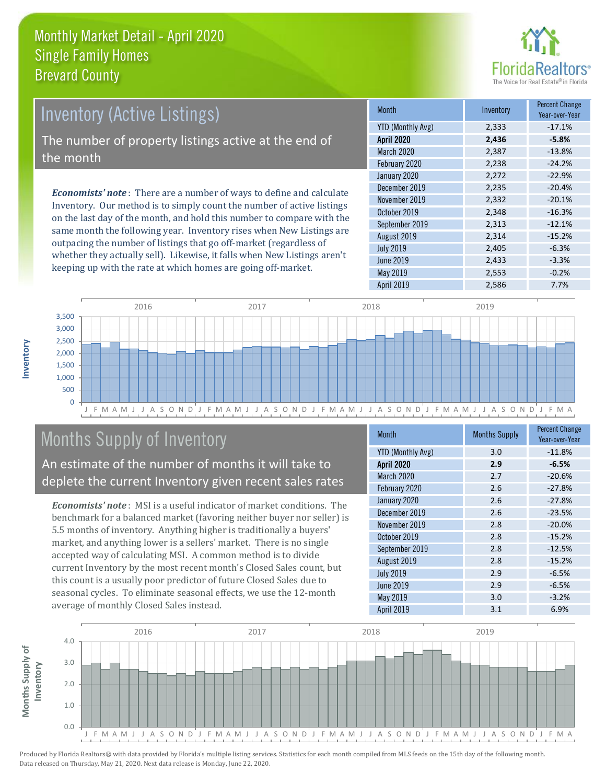

| Inventory (Active Listings)                                                  | <b>Month</b>      |
|------------------------------------------------------------------------------|-------------------|
|                                                                              | YTD (Monthly Avg) |
| The number of property listings active at the end of                         | <b>April 2020</b> |
|                                                                              | March 2020        |
| the month                                                                    | February 2020     |
| <b>Economists' note</b> : There are a number of ways to define and calculate | January 2020      |
|                                                                              | December 2019     |
|                                                                              | November 2019     |
| Inventory. Our method is to simply count the number of active listings       | $0 \cup 1$ $0010$ |

on the last day of the month, and hold this number to compare with the same month the following year. Inventory rises when New Listings are outpacing the number of listings that go off-market (regardless of whether they actually sell). Likewise, it falls when New Listings aren't keeping up with the rate at which homes are going off-market.

| <b>Month</b>             | Inventory | Percent Change<br>Year-over-Year |
|--------------------------|-----------|----------------------------------|
| <b>YTD (Monthly Avg)</b> | 2,333     | $-17.1%$                         |
| <b>April 2020</b>        | 2,436     | $-5.8%$                          |
| March 2020               | 2,387     | $-13.8%$                         |
| February 2020            | 2,238     | $-24.2%$                         |
| January 2020             | 2,272     | $-22.9%$                         |
| December 2019            | 2,235     | $-20.4%$                         |
| November 2019            | 2,332     | $-20.1%$                         |
| October 2019             | 2,348     | $-16.3%$                         |
| September 2019           | 2,313     | $-12.1%$                         |
| August 2019              | 2,314     | $-15.2%$                         |
| <b>July 2019</b>         | 2,405     | $-6.3%$                          |
| <b>June 2019</b>         | 2,433     | $-3.3%$                          |
| May 2019                 | 2,553     | $-0.2%$                          |
| April 2019               | 2,586     | 7.7%                             |



## Months Supply of Inventory

An estimate of the number of months it will take to deplete the current Inventory given recent sales rates

*Economists' note* : MSI is a useful indicator of market conditions. The benchmark for a balanced market (favoring neither buyer nor seller) is 5.5 months of inventory. Anything higher is traditionally a buyers' market, and anything lower is a sellers' market. There is no single accepted way of calculating MSI. A common method is to divide current Inventory by the most recent month's Closed Sales count, but this count is a usually poor predictor of future Closed Sales due to seasonal cycles. To eliminate seasonal effects, we use the 12-month average of monthly Closed Sales instead.

| Month                    | <b>Months Supply</b> | <b>Percent Change</b><br>Year-over-Year |
|--------------------------|----------------------|-----------------------------------------|
| <b>YTD (Monthly Avg)</b> | 3.0                  | $-11.8%$                                |
| <b>April 2020</b>        | 2.9                  | $-6.5%$                                 |
| March 2020               | 2.7                  | $-20.6%$                                |
| February 2020            | 2.6                  | $-27.8%$                                |
| January 2020             | 2.6                  | $-27.8%$                                |
| December 2019            | 2.6                  | $-23.5%$                                |
| November 2019            | 2.8                  | $-20.0%$                                |
| October 2019             | 2.8                  | $-15.2%$                                |
| September 2019           | 2.8                  | $-12.5%$                                |
| August 2019              | 2.8                  | $-15.2%$                                |
| <b>July 2019</b>         | 2.9                  | $-6.5%$                                 |
| <b>June 2019</b>         | 2.9                  | $-6.5%$                                 |
| May 2019                 | 3.0                  | $-3.2%$                                 |
| <b>April 2019</b>        | 3.1                  | 6.9%                                    |

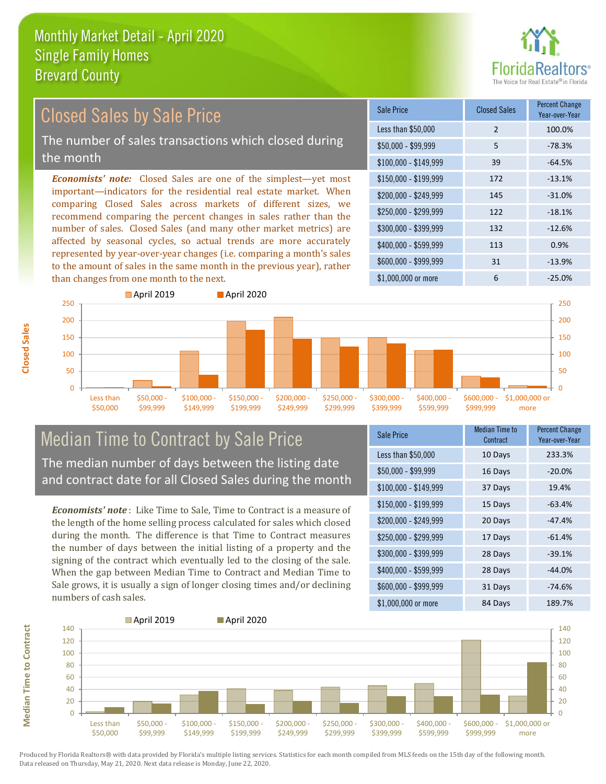

## Closed Sales by Sale Price

The number of sales transactions which closed during the month

*Economists' note:* Closed Sales are one of the simplest—yet most important—indicators for the residential real estate market. When comparing Closed Sales across markets of different sizes, we recommend comparing the percent changes in sales rather than the number of sales. Closed Sales (and many other market metrics) are affected by seasonal cycles, so actual trends are more accurately represented by year-over-year changes (i.e. comparing a month's sales to the amount of sales in the same month in the previous year), rather than changes from one month to the next.

| Sale Price            | <b>Closed Sales</b> | <b>Percent Change</b><br>Year-over-Year |
|-----------------------|---------------------|-----------------------------------------|
| Less than \$50,000    | 2                   | 100.0%                                  |
| $$50,000 - $99,999$   | 5                   | $-78.3%$                                |
| $$100,000 - $149,999$ | 39                  | $-64.5%$                                |
| $$150,000 - $199,999$ | 172                 | $-13.1%$                                |
| \$200,000 - \$249,999 | 145                 | $-31.0%$                                |
| \$250,000 - \$299,999 | 122                 | $-18.1%$                                |
| \$300,000 - \$399,999 | 132                 | $-12.6%$                                |
| \$400,000 - \$599,999 | 113                 | 0.9%                                    |
| \$600,000 - \$999,999 | 31                  | $-13.9%$                                |
| \$1,000,000 or more   | 6                   | $-25.0%$                                |



#### Median Time to Contract by Sale Price The median number of days between the listing date and contract date for all Closed Sales during the month

*Economists' note* : Like Time to Sale, Time to Contract is a measure of the length of the home selling process calculated for sales which closed during the month. The difference is that Time to Contract measures the number of days between the initial listing of a property and the signing of the contract which eventually led to the closing of the sale. When the gap between Median Time to Contract and Median Time to Sale grows, it is usually a sign of longer closing times and/or declining numbers of cash sales.

| Sale Price            | <b>Median Time to</b><br>Contract | <b>Percent Change</b><br>Year-over-Year |
|-----------------------|-----------------------------------|-----------------------------------------|
| Less than \$50,000    | 10 Days                           | 233.3%                                  |
| \$50,000 - \$99,999   | 16 Days                           | $-20.0%$                                |
| $$100,000 - $149,999$ | 37 Days                           | 19.4%                                   |
| $$150,000 - $199,999$ | 15 Days                           | $-63.4%$                                |
| \$200,000 - \$249,999 | 20 Days                           | $-47.4%$                                |
| \$250,000 - \$299,999 | 17 Days                           | $-61.4%$                                |
| \$300,000 - \$399,999 | 28 Days                           | $-39.1%$                                |
| \$400,000 - \$599,999 | 28 Days                           | $-44.0%$                                |
| \$600,000 - \$999,999 | 31 Days                           | $-74.6%$                                |
| \$1,000,000 or more   | 84 Days                           | 189.7%                                  |



Produced by Florida Realtors® with data provided by Florida's multiple listing services. Statistics for each month compiled from MLS feeds on the 15th day of the following month. Data released on Thursday, May 21, 2020. Next data release is Monday, June 22, 2020.

**Median Time to Contract**

**Median Time to Contract**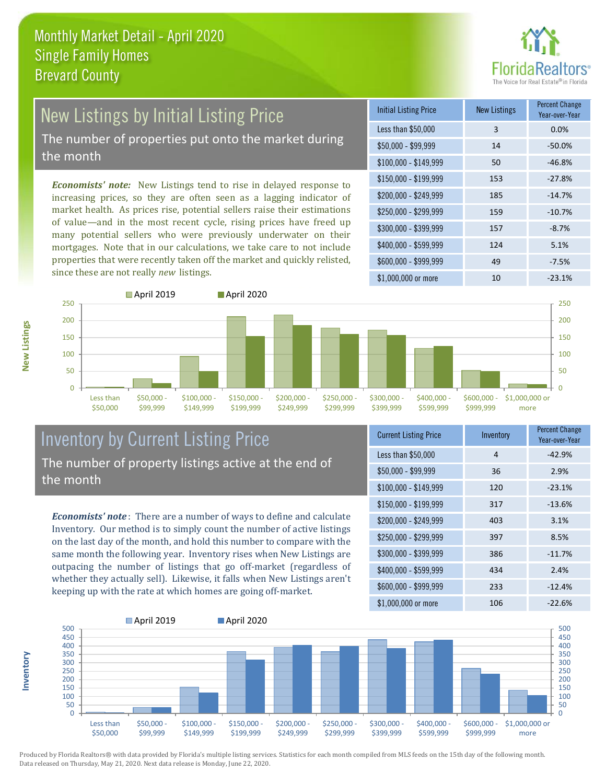

# New Listings by Initial Listing Price

The number of properties put onto the market during the month

*Economists' note:* New Listings tend to rise in delayed response to increasing prices, so they are often seen as a lagging indicator of market health. As prices rise, potential sellers raise their estimations of value—and in the most recent cycle, rising prices have freed up many potential sellers who were previously underwater on their mortgages. Note that in our calculations, we take care to not include properties that were recently taken off the market and quickly relisted, since these are not really *new* listings.

| <b>Initial Listing Price</b> | <b>New Listings</b> | <b>Percent Change</b><br>Year-over-Year |
|------------------------------|---------------------|-----------------------------------------|
| Less than \$50,000           | 3                   | 0.0%                                    |
| $$50,000 - $99,999$          | 14                  | $-50.0\%$                               |
| $$100,000 - $149,999$        | 50                  | $-46.8%$                                |
| $$150,000 - $199,999$        | 153                 | $-27.8%$                                |
| \$200,000 - \$249,999        | 185                 | $-14.7%$                                |
| \$250,000 - \$299,999        | 159                 | $-10.7%$                                |
| \$300,000 - \$399,999        | 157                 | $-8.7%$                                 |
| \$400,000 - \$599,999        | 124                 | 5.1%                                    |
| \$600,000 - \$999,999        | 49                  | $-7.5%$                                 |
| \$1,000,000 or more          | 10                  | $-23.1%$                                |



### Inventory by Current Listing Price The number of property listings active at the end of the month

*Economists' note* : There are a number of ways to define and calculate Inventory. Our method is to simply count the number of active listings on the last day of the month, and hold this number to compare with the same month the following year. Inventory rises when New Listings are outpacing the number of listings that go off-market (regardless of whether they actually sell). Likewise, it falls when New Listings aren't keeping up with the rate at which homes are going off-market.

| <b>Current Listing Price</b> | Inventory | Percent Change<br>Year-over-Year |
|------------------------------|-----------|----------------------------------|
| Less than \$50,000           | 4         | $-42.9%$                         |
| $$50,000 - $99,999$          | 36        | 2.9%                             |
| $$100,000 - $149,999$        | 120       | $-23.1%$                         |
| $$150,000 - $199,999$        | 317       | $-13.6%$                         |
| \$200,000 - \$249,999        | 403       | 3.1%                             |
| \$250,000 - \$299,999        | 397       | 8.5%                             |
| \$300,000 - \$399,999        | 386       | $-11.7%$                         |
| \$400,000 - \$599,999        | 434       | 2.4%                             |
| \$600,000 - \$999,999        | 233       | $-12.4%$                         |
| \$1,000,000 or more          | 106       | $-22.6%$                         |



Produced by Florida Realtors® with data provided by Florida's multiple listing services. Statistics for each month compiled from MLS feeds on the 15th day of the following month. Data released on Thursday, May 21, 2020. Next data release is Monday, June 22, 2020.

**Inventory**